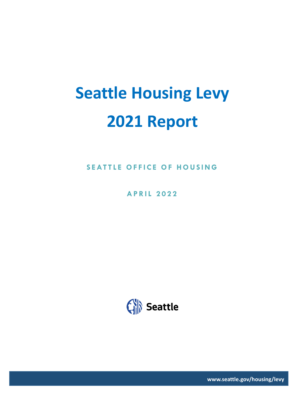# **Seattle Housing Levy 2021 Report**

**SEATTLE OFFICE OF HOUSING**

**APRIL 202 2**



**www.seattle.gov/housing/levy**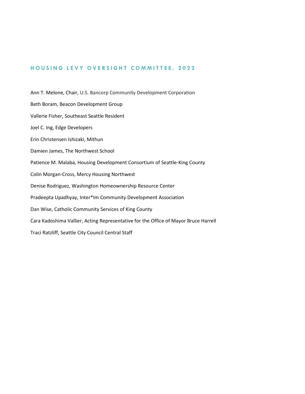#### **HOUSING LEVY OVERSIGHT COMMITTEE, 2022**

Ann T. Melone, Chair, U.S. Bancorp Community Development Corporation Beth Boram, Beacon Development Group Vallerie Fisher, Southeast Seattle Resident Joel C. Ing, Edge Developers Erin Christensen Ishizaki, Mithun Damien James, The Northwest School Patience M. Malaba, Housing Development Consortium of Seattle-King County Colin Morgan-Cross, Mercy Housing Northwest Denise Rodriguez, Washington Homeownership Resource Center Pradeepta Upadhyay, Inter\*Im Community Development Association Dan Wise, Catholic Community Services of King County Cara Kadoshima Vallier, Acting Representative for the Office of Mayor Bruce Harrell Traci Ratzliff, Seattle City Council Central Staff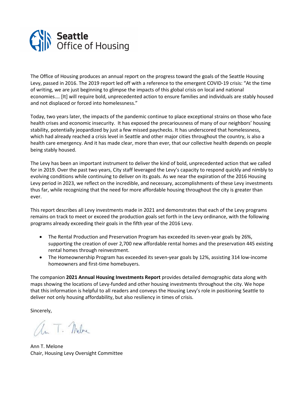

The Office of Housing produces an annual report on the progress toward the goals of the Seattle Housing Levy, passed in 2016. The 2019 report led off with a reference to the emergent COVID-19 crisis: "At the time of writing, we are just beginning to glimpse the impacts of this global crisis on local and national economies.… [It] will require bold, unprecedented action to ensure families and individuals are stably housed and not displaced or forced into homelessness."

Today, two years later, the impacts of the pandemic continue to place exceptional strains on those who face health crises and economic insecurity. It has exposed the precariousness of many of our neighbors' housing stability, potentially jeopardized by just a few missed paychecks. It has underscored that homelessness, which had already reached a crisis level in Seattle and other major cities throughout the country, is also a health care emergency. And it has made clear, more than ever, that our collective health depends on people being stably housed.

The Levy has been an important instrument to deliver the kind of bold, unprecedented action that we called for in 2019. Over the past two years, City staff leveraged the Levy's capacity to respond quickly and nimbly to evolving conditions while continuing to deliver on its goals. As we near the expiration of the 2016 Housing Levy period in 2023, we reflect on the incredible, and necessary, accomplishments of these Levy investments thus far, while recognizing that the need for more affordable housing throughout the city is greater than ever.

This report describes all Levy investments made in 2021 and demonstrates that each of the Levy programs remains on track to meet or exceed the production goals set forth in the Levy ordinance, with the following programs already exceeding their goals in the fifth year of the 2016 Levy.

- The Rental Production and Preservation Program has exceeded its seven-year goals by 26%, supporting the creation of over 2,700 new affordable rental homes and the preservation 445 existing rental homes through reinvestment.
- The Homeownership Program has exceeded its seven-year goals by 12%, assisting 314 low-income homeowners and first-time homebuyers.

The companion **2021 Annual Housing Investments Report** provides detailed demographic data along with maps showing the locations of Levy-funded and other housing investments throughout the city. We hope that this information is helpful to all readers and conveys the Housing Levy's role in positioning Seattle to deliver not only housing affordability, but also resiliency in times of crisis.

Sincerely,

an T. Melve

Ann T. Melone Chair, Housing Levy Oversight Committee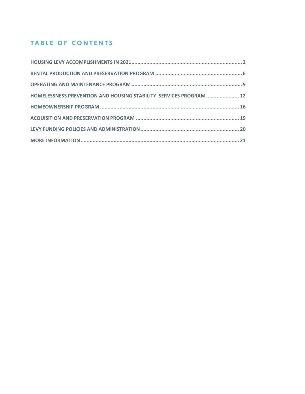# **TABLE OF CONTENTS**

<span id="page-3-0"></span>

| HOMELESSNESS PREVENTION AND HOUSING STABILITY SERVICES PROGRAM  12 |  |
|--------------------------------------------------------------------|--|
|                                                                    |  |
|                                                                    |  |
|                                                                    |  |
|                                                                    |  |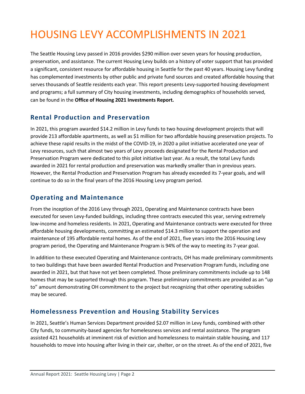# HOUSING LEVY ACCOMPLISHMENTS IN 2021

The Seattle Housing Levy passed in 2016 provides \$290 million over seven years for housing production, preservation, and assistance. The current Housing Levy builds on a history of voter support that has provided a significant, consistent resource for affordable housing in Seattle for the past 40 years. Housing Levy funding has complemented investments by other public and private fund sources and created affordable housing that serves thousands of Seattle residents each year. This report presents Levy-supported housing development and programs; a full summary of City housing investments, including demographics of households served, can be found in the **Office of Housing 2021 Investments Report.**

# **Rental Production and Preservation**

In 2021, this program awarded \$14.2 million in Levy funds to two housing development projects that will provide 213 affordable apartments, as well as \$1 million for two affordable housing preservation projects. To achieve these rapid results in the midst of the COVID-19, in 2020 a pilot initiative accelerated one year of Levy resources, such that almost two years of Levy proceeds designated for the Rental Production and Preservation Program were dedicated to this pilot initiative last year. As a result, the total Levy funds awarded in 2021 for rental production and preservation was markedly smaller than in previous years. However, the Rental Production and Preservation Program has already exceeded its 7-year goals, and will continue to do so in the final years of the 2016 Housing Levy program period.

# **Operating and Maintenance**

From the inception of the 2016 Levy through 2021, Operating and Maintenance contracts have been executed for seven Levy-funded buildings, including three contracts executed this year, serving extremely low-income and homeless residents. In 2021, Operating and Maintenance contracts were executed for three affordable housing developments, committing an estimated \$14.3 million to support the operation and maintenance of 195 affordable rental homes. As of the end of 2021, five years into the 2016 Housing Levy program period, the Operating and Maintenance Program is 94% of the way to meeting its 7-year goal.

In addition to these executed Operating and Maintenance contracts, OH has made preliminary commitments to two buildings that have been awarded Rental Production and Preservation Program funds, including one awarded in 2021, but that have not yet been completed. Those preliminary commitments include up to 148 homes that may be supported through this program. These preliminary commitments are provided as an "up to" amount demonstrating OH commitment to the project but recognizing that other operating subsidies may be secured.

# **Homelessness Prevention and Housing Stability Services**

In 2021, Seattle's Human Services Department provided \$2.07 million in Levy funds, combined with other City funds, to community-based agencies for homelessness services and rental assistance. The program assisted 421 households at imminent risk of eviction and homelessness to maintain stable housing, and 117 households to move into housing after living in their car, shelter, or on the street. As of the end of 2021, five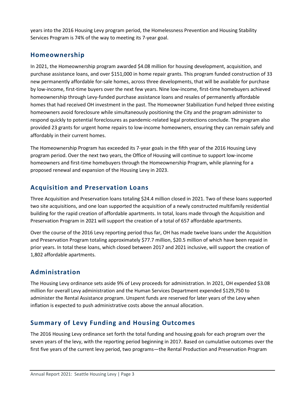years into the 2016 Housing Levy program period, the Homelessness Prevention and Housing Stability Services Program is 74% of the way to meeting its 7-year goal.

# **Homeownership**

In 2021, the Homeownership program awarded \$4.08 million for housing development, acquisition, and purchase assistance loans, and over \$151,000 in home repair grants. This program funded construction of 33 new permanently affordable for-sale homes, across three developments, that will be available for purchase by low-income, first-time buyers over the next few years. Nine low-income, first-time homebuyers achieved homeownership through Levy-funded purchase assistance loans and resales of permanently affordable homes that had received OH investment in the past. The Homeowner Stabilization Fund helped three existing homeowners avoid foreclosure while simultaneously positioning the City and the program administer to respond quickly to potential foreclosures as pandemic-related legal protections conclude. The program also provided 23 grants for urgent home repairs to low-income homeowners, ensuring they can remain safely and affordably in their current homes.

The Homeownership Program has exceeded its 7-year goals in the fifth year of the 2016 Housing Levy program period. Over the next two years, the Office of Housing will continue to support low-income homeowners and first-time homebuyers through the Homeownership Program, while planning for a proposed renewal and expansion of the Housing Levy in 2023.

# **Acquisition and Preservation Loans**

Three Acquisition and Preservation loans totaling \$24.4 million closed in 2021. Two of these loans supported two site acquisitions, and one loan supported the acquisition of a newly constructed multifamily residential building for the rapid creation of affordable apartments. In total, loans made through the Acquisition and Preservation Program in 2021 will support the creation of a total of 657 affordable apartments.

Over the course of the 2016 Levy reporting period thus far, OH has made twelve loans under the Acquisition and Preservation Program totaling approximately \$77.7 million, \$20.5 million of which have been repaid in prior years. In total these loans, which closed between 2017 and 2021 inclusive, will support the creation of 1,802 affordable apartments.

# **Administration**

The Housing Levy ordinance sets aside 9% of Levy proceeds for administration. In 2021, OH expended \$3.08 million for overall Levy administration and the Human Services Department expended \$129,750 to administer the Rental Assistance program. Unspent funds are reserved for later years of the Levy when inflation is expected to push administrative costs above the annual allocation.

# **Summary of Levy Funding and Housing Outcomes**

The 2016 Housing Levy ordinance set forth the total funding and housing goals for each program over the seven years of the levy, with the reporting period beginning in 2017. Based on cumulative outcomes over the first five years of the current levy period, two programs—the Rental Production and Preservation Program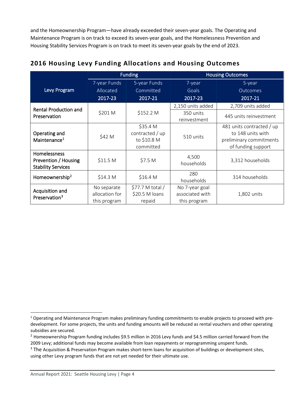and the Homeownership Program—have already exceeded their seven-year goals. The Operating and Maintenance Program is on track to exceed its seven-year goals, and the Homelessness Prevention and Housing Stability Services Program is on track to meet its seven-year goals by the end of 2023.

|                                                                   | <b>Funding</b>                                |                                                         |                                                   | <b>Housing Outcomes</b>                                                                         |
|-------------------------------------------------------------------|-----------------------------------------------|---------------------------------------------------------|---------------------------------------------------|-------------------------------------------------------------------------------------------------|
|                                                                   | 7-year Funds                                  | 5-year Funds                                            | 7-year                                            | 5-year                                                                                          |
| Levy Program                                                      | Allocated                                     | Committed                                               | Goals                                             | <b>Outcomes</b>                                                                                 |
|                                                                   | 2017-23                                       | 2017-21                                                 | 2017-23                                           | 2017-21                                                                                         |
| <b>Rental Production and</b>                                      |                                               |                                                         | 2,150 units added                                 | 2,709 units added                                                                               |
| Preservation                                                      | \$152.2 M<br>\$201 M                          |                                                         | 350 units<br>reinvestment                         | 445 units reinvestment                                                                          |
| Operating and<br>Maintenance <sup>1</sup>                         | \$42 M                                        | \$35.4 M<br>contracted / up<br>to \$10.8 M<br>committed | 510 units                                         | 481 units contracted / up<br>to 148 units with<br>preliminary commitments<br>of funding support |
| Homelessness<br>Prevention / Housing<br><b>Stability Services</b> | \$11.5 <sub>M</sub>                           | \$7.5 M                                                 | 4,500<br>households                               | 3,312 households                                                                                |
| Homeownership <sup>2</sup>                                        | \$14.3 M                                      | \$16.4 M                                                | 280<br>households                                 | 314 households                                                                                  |
| Acquisition and<br>Preservation <sup>3</sup>                      | No separate<br>allocation for<br>this program | \$77.7 M total/<br>\$20.5 M loans<br>repaid             | No 7-year goal<br>associated with<br>this program | 1,802 units                                                                                     |

# **2016 Housing Levy Funding Allocations and Housing Outcomes**

<span id="page-6-0"></span> $1$  Operating and Maintenance Program makes preliminary funding commitments to enable projects to proceed with predevelopment. For some projects, the units and funding amounts will be reduced as rental vouchers and other operating subsidies are secured.

<span id="page-6-1"></span> $2$  Homeownership Program funding includes \$9.5 million in 2016 Levy funds and \$4.5 million carried forward from the 2009 Levy; additional funds may become available from loan repayments or reprogramming unspent funds.

<span id="page-6-2"></span><sup>&</sup>lt;sup>3</sup> The Acquisition & Preservation Program makes short-term loans for acquisition of buildings or development sites, using other Levy program funds that are not yet needed for their ultimate use.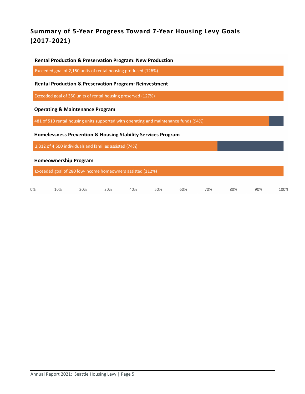# **Summary of 5-Year Progress Toward 7-Year Housing Levy Goals (2017-2021)**

#### **Rental Production & Preservation Program: New Production**

Exceeded goal of 2,150 units of rental housing produced (126%)

#### **Rental Production & Preservation Program: Reinvestment**

Exceeded goal of 350 units of rental housing preserved (127%)

#### **Operating & Maintenance Program**

481 of 510 rental housing units supported with operating and maintenance funds (94%)

#### Homelessness Prevention & Housing Stability Services Program

3,312 of 4,500 individuals and families assisted (74%)

#### **Homeownership Program**

Exceeded goal of 280 low-income homeowners assisted (112%)

|  |  |  |  | $0\%$ 10% 20% 30% 40% 50% 60% 70% 80% 90% 100% |  |
|--|--|--|--|------------------------------------------------|--|
|  |  |  |  |                                                |  |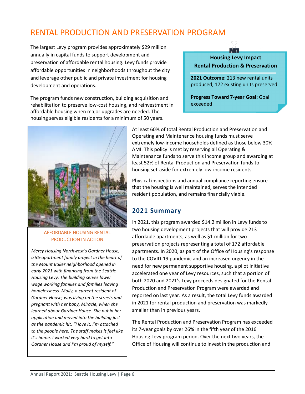# <span id="page-8-0"></span>RENTAL PRODUCTION AND PRESERVATION PROGRAM

The largest Levy program provides approximately \$29 million annually in capital funds to support development and preservation of affordable rental housing. Levy funds provide affordable opportunities in neighborhoods throughout the city and leverage other public and private investment for housing development and operations.

The program funds new construction, building acquisition and rehabilitation to preserve low-cost housing, and reinvestment in affordable housing when major upgrades are needed. The housing serves eligible residents for a minimum of 50 years.



**Housing Levy Impact Rental Production & Preservation**

**2021 Outcome:** 213 new rental units produced, 172 existing units preserved

**Progress Toward 7-year Goal:** Goal exceeded



#### AFFORDABLE HOUSING RENTAL PRODUCTION IN ACTION

*Mercy Housing Northwest's Gardner House, a 95-apartment family project in the heart of the Mount Baker neighborhood opened in early 2021 with financing from the Seattle Housing Levy. The building serves lower wage working families and families leaving homelessness. Molly, a current resident of Gardner House, was living on the streets and pregnant with her baby, Miracle, when she learned about Gardner House. She put in her application and moved into the building just as the pandemic hit. "I love it. I'm attached to the people here. The staff makes it feel like it's home. I worked very hard to get into Gardner House and I'm proud of myself."*

At least 60% of total Rental Production and Preservation and Operating and Maintenance housing funds must serve extremely low-income households defined as those below 30% AMI. This policy is met by reserving all Operating & Maintenance funds to serve this income group and awarding at least 52% of Rental Production and Preservation funds to housing set-aside for extremely low-income residents.

Physical inspections and annual compliance reporting ensure that the housing is well maintained, serves the intended resident population, and remains financially viable.

# **2021 Summary**

In 2021, this program awarded \$14.2 million in Levy funds to two housing development projects that will provide 213 affordable apartments, as well as \$1 million for two preservation projects representing a total of 172 affordable apartments. In 2020, as part of the Office of Housing's response to the COVID-19 pandemic and an increased urgency in the need for new permanent supportive housing, a pilot initiative accelerated one year of Levy resources, such that a portion of both 2020 and 2021's Levy proceeds designated for the Rental Production and Preservation Program were awarded and reported on last year. As a result, the total Levy funds awarded in 2021 for rental production and preservation was markedly smaller than in previous years.

The Rental Production and Preservation Program has exceeded its 7-year goals by over 26% in the fifth year of the 2016 Housing Levy program period. Over the next two years, the Office of Housing will continue to invest in the production and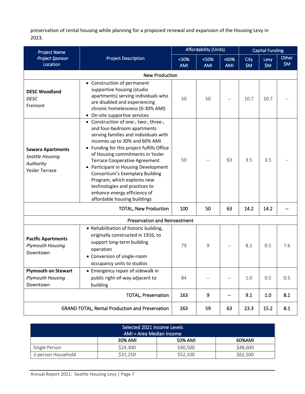preservation of rental housing while planning for a proposed renewal and expansion of the Housing Levy in 2023.

| <b>Project Name</b>                                                               |                                                                                                                                                                                                                                                                                                                                                                                                                                                                                            |                     | <b>Affordability (Units)</b>                  |                                               | <b>Capital Funding</b> |               |              |
|-----------------------------------------------------------------------------------|--------------------------------------------------------------------------------------------------------------------------------------------------------------------------------------------------------------------------------------------------------------------------------------------------------------------------------------------------------------------------------------------------------------------------------------------------------------------------------------------|---------------------|-----------------------------------------------|-----------------------------------------------|------------------------|---------------|--------------|
| <b>Project Sponsor</b><br>Location                                                | <b>Project Description</b>                                                                                                                                                                                                                                                                                                                                                                                                                                                                 | $30%$<br><b>AMI</b> | $50%$<br><b>AMI</b>                           | <60%<br><b>AMI</b>                            | City<br>\$M\$          | Levy<br>\$M\$ | Other<br>\$M |
|                                                                                   | <b>New Production</b>                                                                                                                                                                                                                                                                                                                                                                                                                                                                      |                     |                                               |                                               |                        |               |              |
| <b>DESC Woodland</b><br><b>DESC</b><br>Fremont                                    | • Construction of permanent<br>supportive housing (studio<br>apartments) serving individuals who<br>are disabled and experiencing<br>chronic homelessness (0-30% AMI)<br>• On-site supportive services                                                                                                                                                                                                                                                                                     | 50                  | 50                                            |                                               | 10.7                   | 10.7          |              |
| <b>Sawara Apartments</b><br>Seattle Housing<br>Authority<br><b>Yesler Terrace</b> | • Construction of one-, two-, three-,<br>and four-bedroom apartments<br>serving families and individuals with<br>incomes up to 30% and 60% AMI<br>• Funding for this project fulfills Office<br>of Housing commitments in Yesler<br><b>Terrace Cooperative Agreement</b><br>• Participant in Housing Development<br><b>Consortium's Exemplary Building</b><br>Program, which explores new<br>technologies and practices to<br>enhance energy efficiency of<br>affordable housing buildings | 50                  |                                               | 63                                            | 3.5                    | 3.5           |              |
|                                                                                   | <b>TOTAL, New Production</b>                                                                                                                                                                                                                                                                                                                                                                                                                                                               | 100                 | 50                                            | 63                                            | 14.2                   | 14.2          |              |
|                                                                                   | <b>Preservation and Reinvestment</b>                                                                                                                                                                                                                                                                                                                                                                                                                                                       |                     |                                               |                                               |                        |               |              |
| <b>Pacific Apartments</b><br><b>Plymouth Housing</b><br>Downtown                  | • Rehabilitation of historic building,<br>originally constructed in 1916, to<br>support long-term building<br>operation<br>• Conversion of single-room<br>occupancy units to studios                                                                                                                                                                                                                                                                                                       | 79                  | 9                                             |                                               | 8.1                    | 0.5           | 7.6          |
| <b>Plymouth on Stewart</b><br><b>Plymouth Housing</b><br>Downtown                 | • Emergency repair of sidewalk in<br>public right-of-way adjacent to<br>building                                                                                                                                                                                                                                                                                                                                                                                                           | 84                  | $\mathord{\hspace{1pt}\text{--}\hspace{1pt}}$ | $\mathord{\hspace{1pt}\text{--}\hspace{1pt}}$ | $1.0\,$                | 0.5           | 0.5          |
|                                                                                   | <b>TOTAL, Preservation</b>                                                                                                                                                                                                                                                                                                                                                                                                                                                                 | 163                 | 9                                             |                                               | 9.1                    | 1.0           | 8.1          |
|                                                                                   | <b>GRAND TOTAL, Rental Production and Preservation</b>                                                                                                                                                                                                                                                                                                                                                                                                                                     | 263                 | 59                                            | 63                                            | 23.3                   | 15.2          | 8.1          |

| Selected 2021 Income Levels<br>AMI = Area Median Income |          |          |          |  |
|---------------------------------------------------------|----------|----------|----------|--|
| 30% AMI<br>50% AMI<br>60%AMI                            |          |          |          |  |
| Single Person                                           | \$24,300 | \$40,500 | \$48,600 |  |
| 3-person Household                                      | \$31,250 | \$52,100 | \$62,500 |  |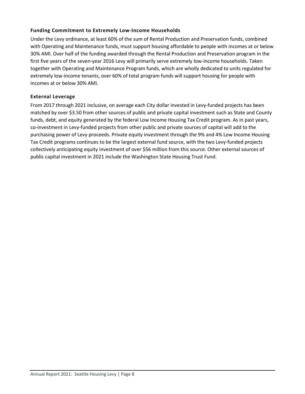#### **Funding Commitment to Extremely Low-Income Households**

Under the Levy ordinance, at least 60% of the sum of Rental Production and Preservation funds, combined with Operating and Maintenance funds, must support housing affordable to people with incomes at or below 30% AMI. Over half of the funding awarded through the Rental Production and Preservation program in the first five years of the seven-year 2016 Levy will primarily serve extremely low-income households. Taken together with Operating and Maintenance Program funds, which are wholly dedicated to units regulated for extremely low-income tenants, over 60% of total program funds will support housing for people with incomes at or below 30% AMI.

#### **External Leverage**

From 2017 through 2021 inclusive, on average each City dollar invested in Levy-funded projects has been matched by over \$3.50 from other sources of public and private capital investment such as State and County funds, debt, and equity generated by the federal Low Income Housing Tax Credit program. As in past years, co-investment in Levy-funded projects from other public and private sources of capital will add to the purchasing power of Levy proceeds. Private equity investment through the 9% and 4% Low Income Housing Tax Credit programs continues to be the largest external fund source, with the two Levy-funded projects collectively anticipating equity investment of over \$56 million from this source. Other external sources of public capital investment in 2021 include the Washington State Housing Trust Fund.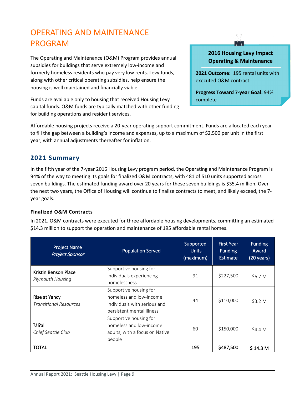# <span id="page-11-0"></span>OPERATING AND MAINTENANCE PROGRAM

The Operating and Maintenance (O&M) Program provides annual subsidies for buildings that serve extremely low-income and formerly homeless residents who pay very low rents. Levy funds, along with other critical operating subsidies, help ensure the housing is well maintained and financially viable.

Funds are available only to housing that received Housing Levy capital funds. O&M funds are typically matched with other funding for building operations and resident services.

## **2016 Housing Levy Impact Operating & Maintenance**

**2021 Outcome:** 195 rental units with executed O&M contract

**Progress Toward 7-year Goal:** 94% complete

Affordable housing projects receive a 20-year operating support commitment. Funds are allocated each year to fill the gap between a building's income and expenses, up to a maximum of \$2,500 per unit in the first year, with annual adjustments thereafter for inflation.

# **2021 Summary**

In the fifth year of the 7-year 2016 Housing Levy program period, the Operating and Maintenance Program is 94% of the way to meeting its goals for finalized O&M contracts, with 481 of 510 units supported across seven buildings. The estimated funding award over 20 years for these seven buildings is \$35.4 million. Over the next two years, the Office of Housing will continue to finalize contracts to meet, and likely exceed, the 7 year goals.

#### **Finalized O&M Contracts**

In 2021, O&M contracts were executed for three affordable housing developments, committing an estimated \$14.3 million to support the operation and maintenance of 195 affordable rental homes.

| <b>Project Name</b><br><b>Project Sponsor</b>  | <b>Population Served</b>                                                                                       | Supported<br><b>Units</b><br>(maximum) | <b>First Year</b><br><b>Funding</b><br><b>Estimate</b> | <b>Funding</b><br>Award<br>(20 years) |
|------------------------------------------------|----------------------------------------------------------------------------------------------------------------|----------------------------------------|--------------------------------------------------------|---------------------------------------|
| Kristin Benson Place<br>Plymouth Housing       | Supportive housing for<br>individuals experiencing<br>homelessness                                             | 91                                     | \$227,500                                              | \$6.7 M                               |
| Rise at Yancy<br><b>Transitional Resources</b> | Supportive housing for<br>homeless and low-income<br>individuals with serious and<br>persistent mental illness | 44                                     | \$110,000                                              | \$3.2 M                               |
| ?ál?al<br>Chief Seattle Club                   | Supportive housing for<br>homeless and low-income<br>adults, with a focus on Native<br>people                  | 60                                     | \$150,000                                              | \$4.4 M                               |
| <b>TOTAL</b>                                   |                                                                                                                | 195                                    | \$487,500                                              | \$14.3 M                              |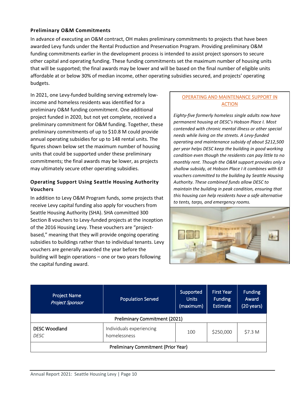#### **Preliminary O&M Commitments**

In advance of executing an O&M contract, OH makes preliminary commitments to projects that have been awarded Levy funds under the Rental Production and Preservation Program. Providing preliminary O&M funding commitments earlier in the development process is intended to assist project sponsors to secure other capital and operating funding. These funding commitments set the maximum number of housing units that will be supported; the final awards may be lower and will be based on the final number of eligible units affordable at or below 30% of median income, other operating subsidies secured, and projects' operating budgets.

In 2021, one Levy-funded building serving extremely lowincome and homeless residents was identified for a preliminary O&M funding commitment. One additional project funded in 2020, but not yet complete, received a preliminary commitment for O&M funding. Together, these preliminary commitments of up to \$10.8 M could provide annual operating subsidies for up to 148 rental units. The figures shown below set the maximum number of housing units that could be supported under these preliminary commitments; the final awards may be lower, as projects may ultimately secure other operating subsidies.

#### **Operating Support Using Seattle Housing Authority Vouchers**

In addition to Levy O&M Program funds, some projects that receive Levy capital funding also apply for vouchers from Seattle Housing Authority (SHA). SHA committed 300 Section 8 vouchers to Levy-funded projects at the inception of the 2016 Housing Levy. These vouchers are "projectbased," meaning that they will provide ongoing operating subsidies to buildings rather than to individual tenants. Levy vouchers are generally awarded the year before the building will begin operations – one or two years following the capital funding award.

#### OPERATING AND MAINTENANCE SUPPORT IN **ACTION**

*Eighty-five formerly homeless single adults now have permanent housing at DESC's Hobson Place I. Most contended with chronic mental illness or other special needs while living on the streets. A Levy-funded operating and maintenance subsidy of about \$212,500 per year helps DESC keep the building in good working condition even though the residents can pay little to no monthly rent. Though the O&M support provides only a shallow subsidy, at Hobson Place I it combines with 63 vouchers committed to the building by Seattle Housing Authority. These combined funds allow DESC to maintain the building in peak condition, ensuring that this housing can help residents have a safe alternative to tents, tarps, and emergency rooms.* 



| <b>Project Name</b><br><b>Project Sponsor</b> | <b>Population Served</b>                 | Supported<br><b>Units</b><br>(maximum) | <b>First Year</b><br><b>Funding</b><br>Estimate | <b>Funding</b><br>Award<br>$(20 \,\text{years})$ |  |
|-----------------------------------------------|------------------------------------------|----------------------------------------|-------------------------------------------------|--------------------------------------------------|--|
| <b>Preliminary Commitment (2021)</b>          |                                          |                                        |                                                 |                                                  |  |
| <b>DESC Woodland</b><br>DESC                  | Individuals experiencing<br>homelessness | 100                                    | \$250,000                                       | \$7.3 M                                          |  |
| <b>Preliminary Commitment (Prior Year)</b>    |                                          |                                        |                                                 |                                                  |  |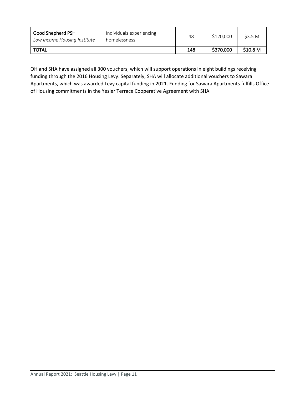| Good Shepherd PSH<br>Low Income Housing Institute | Individuals experiencing<br>homelessness | 48  | \$120,000 | \$3.5 M             |
|---------------------------------------------------|------------------------------------------|-----|-----------|---------------------|
| <b>TOTAL</b>                                      |                                          | 148 | \$370,000 | \$10.8 <sub>M</sub> |

OH and SHA have assigned all 300 vouchers, which will support operations in eight buildings receiving funding through the 2016 Housing Levy. Separately, SHA will allocate additional vouchers to Sawara Apartments, which was awarded Levy capital funding in 2021. Funding for Sawara Apartments fulfills Office of Housing commitments in the Yesler Terrace Cooperative Agreement with SHA.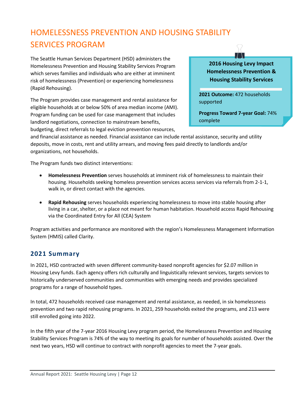# <span id="page-14-0"></span>HOMELESSNESS PREVENTION AND HOUSING STABILITY SERVICES PROGRAM

The Seattle Human Services Department (HSD) administers the Homelessness Prevention and Housing Stability Services Program which serves families and individuals who are either at imminent risk of homelessness (Prevention) or experiencing homelessness (Rapid Rehousing).

The Program provides case management and rental assistance for eligible households at or below 50% of area median income (AMI). Program funding can be used for case management that includes landlord negotiations, connection to mainstream benefits, budgeting, direct referrals to legal eviction prevention resources,

**2016 Housing Levy Impact Homelessness Prevention & Housing Stability Services** 

**2021 Outcome:** 472 households supported

**Progress Toward 7-year Goal:** 74% complete

and financial assistance as needed. Financial assistance can include rental assistance, security and utility deposits, move in costs, rent and utility arrears, and moving fees paid directly to landlords and/or organizations, not households.

The Program funds two distinct interventions:

- **Homelessness Prevention** serves households at imminent risk of homelessness to maintain their housing. Households seeking homeless prevention services access services via referrals from 2-1-1, walk in, or direct contact with the agencies.
- **Rapid Rehousing** serves households experiencing homelessness to move into stable housing after living in a car, shelter, or a place not meant for human habitation. Household access Rapid Rehousing via the Coordinated Entry for All (CEA) System

Program activities and performance are monitored with the region's Homelessness Management Information System (HMIS) called Clarity.

# **2021 Summary**

In 2021, HSD contracted with seven different community-based nonprofit agencies for \$2.07 million in Housing Levy funds. Each agency offers rich culturally and linguistically relevant services, targets services to historically underserved communities and communities with emerging needs and provides specialized programs for a range of household types.

In total, 472 households received case management and rental assistance, as needed, in six homelessness prevention and two rapid rehousing programs. In 2021, 259 households exited the programs, and 213 were still enrolled going into 2022.

In the fifth year of the 7-year 2016 Housing Levy program period, the Homelessness Prevention and Housing Stability Services Program is 74% of the way to meeting its goals for number of households assisted. Over the next two years, HSD will continue to contract with nonprofit agencies to meet the 7-year goals.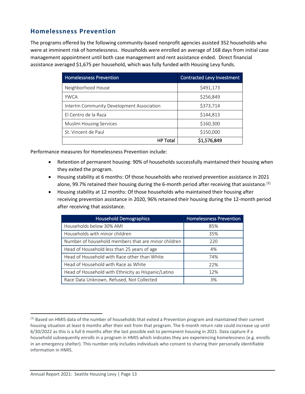## **Homelessness Prevention**

The programs offered by the following community-based nonprofit agencies assisted 352 households who were at imminent risk of homelessness. Households were enrolled an average of 168 days from initial case management appointment until both case management and rent assistance ended. Direct financial assistance averaged \$1,675 per household, which was fully funded with Housing Levy funds.

| <b>Homelessness Prevention</b>            | <b>Contracted Levy Investment</b> |
|-------------------------------------------|-----------------------------------|
| Neighborhood House                        | \$491,173                         |
| <b>YWCA</b>                               | \$256,849                         |
| InterIm Community Development Association | \$373,714                         |
| El Centro de la Raza                      | \$144,813                         |
| <b>Muslim Housing Services</b>            | \$160,300                         |
| St. Vincent de Paul                       | \$150,000                         |
| <b>HP Total</b>                           | \$1,576,849                       |

Performance measures for Homelessness Prevention include:

- Retention of permanent housing: 90% of households successfully maintained their housing when they exited the program.
- Housing stability at 6 months: Of those households who received prevention assistance in 2021 alone, 99.7% retained their housing during the 6-month period after receiving that assistance.<sup>[\[1\]](#page-15-0)</sup>
- Housing stability at 12 months: Of those households who maintained their housing after receiving prevention assistance in 2020, 96% retained their housing during the 12-month period after receiving that assistance.

| <b>Household Demographics</b>                       | <b>Homelessness Prevention</b> |
|-----------------------------------------------------|--------------------------------|
| Households below 30% AMI                            | 85%                            |
| Households with minor children                      | 35%                            |
| Number of household members that are minor children | 220                            |
| Head of Household less than 25 years of age         | 4%                             |
| Head of Household with Race other than White        | 74%                            |
| Head of Household with Race as White                | 22%                            |
| Head of Household with Ethnicity as Hispanic/Latino | 12%                            |
| Race Data Unknown, Refused, Not Collected           | 3%                             |

<span id="page-15-0"></span>*<sup>[1]</sup>* Based on HMIS data of the number of households that exited a Prevention program and maintained their current housing situation at least 6 months after their exit from that program. The 6-month return rate could increase up until 6/30/2022 as this is a full 6 months after the last possible exit to permanent housing in 2021. Data capture if a household subsequently enrolls in a program in HMIS which indicates they are experiencing homelessness (e.g. enrolls in an emergency shelter). This number only includes individuals who consent to sharing their personally identifiable information in HMIS.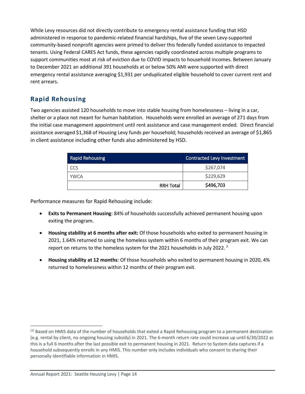While Levy resources did not directly contribute to emergency rental assistance funding that HSD administered in response to pandemic-related financial hardships, five of the seven Levy-supported community-based nonprofit agencies were primed to deliver this federally funded assistance to impacted tenants. Using Federal CARES Act funds, these agencies rapidly coordinated across multiple programs to support communities most at risk of eviction due to COVID impacts to household incomes. Between January to December 2021 an additional 391 households at or below 50% AMI were supported with direct emergency rental assistance averaging \$1,931 per unduplicated eligible household to cover current rent and rent arrears.

# **Rapid Rehousing**

Two agencies assisted 120 households to move into stable housing from homelessness – living in a car, shelter or a place not meant for human habitation. Households were enrolled an average of 271 days from the initial case management appointment until rent assistance and case management ended.Direct financial assistance averaged \$1,368 of Housing Levy funds per household; households received an average of \$1,865 in client assistance including other funds also administered by HSD.

| <b>Rapid Rehousing</b> |                  | <b>Contracted Levy Investment</b> |
|------------------------|------------------|-----------------------------------|
| CCS                    |                  | \$267,074                         |
| <b>YWCA</b>            |                  | \$229,629                         |
|                        | <b>RRH Total</b> | \$496,703                         |

Performance measures for Rapid Rehousing include:

- **Exits to Permanent Housing**: 84% of households successfully achieved permanent housing upon exiting the program.
- **Housing stability at 6 months after exit:** Of those households who exited to permanent housing in 2021, 1.64% returned to using the homeless system within 6 months of their program exit. We can report on returns to the homeless system for the [2](#page-16-0)021 households in July 2022.  $^2$
- **Housing stability at 12 months**: Of those households who exited to permanent housing in 2020, 4% returned to homelessness within 12 months of their program exit.

<span id="page-16-0"></span>*<sup>[2]</sup>* Based on HMIS data of the number of households that exited a Rapid Rehousing program to a permanent destination (e.g. rental by client, no ongoing housing subsidy) in 2021. The 6-month return rate could increase up until 6/30/2022 as this is a full 6 months after the last possible exit to permanent housing in 2021. Return to System data captures if a household subsequently enrolls in any HMIS. This number only includes individuals who consent to sharing their personally identifiable information in HMIS.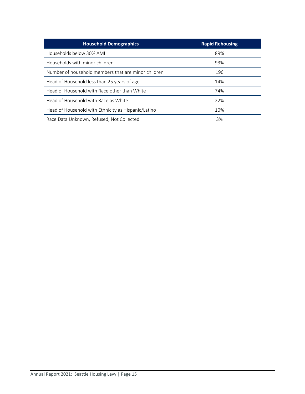<span id="page-17-0"></span>

| <b>Household Demographics</b>                       | <b>Rapid Rehousing</b> |
|-----------------------------------------------------|------------------------|
| Households below 30% AMI                            | 89%                    |
| Households with minor children                      | 93%                    |
| Number of household members that are minor children | 196                    |
| Head of Household less than 25 years of age         | 14%                    |
| Head of Household with Race other than White        | 74%                    |
| Head of Household with Race as White                | 22%                    |
| Head of Household with Ethnicity as Hispanic/Latino | 10%                    |
| Race Data Unknown, Refused, Not Collected           | 3%                     |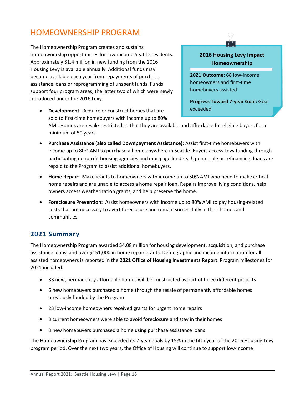# HOMEOWNERSHIP PROGRAM

The Homeownership Program creates and sustains homeownership opportunities for low-income Seattle residents. Approximately \$1.4 million in new funding from the 2016 Housing Levy is available annually. Additional funds may become available each year from repayments of purchase assistance loans or reprogramming of unspent funds. Funds support four program areas, the latter two of which were newly introduced under the 2016 Levy.

homeowners and first-time homebuyers assisted

> **Progress Toward 7-year Goal:** Goal exceeded

**2016 Housing Levy Impact Homeownership**

**2021 Outcome:** 68 low-income

- **Development:** Acquire or construct homes that are sold to first-time homebuyers with income up to 80% AMI. Homes are resale-restricted so that they are available and affordable for eligible buyers for a minimum of 50 years.
- **Purchase Assistance (also called Downpayment Assistance):** Assist first-time homebuyers with income up to 80% AMI to purchase a home anywhere in Seattle. Buyers access Levy funding through participating nonprofit housing agencies and mortgage lenders. Upon resale or refinancing, loans are repaid to the Program to assist additional homebuyers.
- **Home Repair:** Make grants to homeowners with income up to 50% AMI who need to make critical home repairs and are unable to access a home repair loan. Repairs improve living conditions, help owners access weatherization grants, and help preserve the home.
- **Foreclosure Prevention:** Assist homeowners with income up to 80% AMI to pay housing-related costs that are necessary to avert foreclosure and remain successfully in their homes and communities.

## **2021 Summary**

The Homeownership Program awarded \$4.08 million for housing development, acquisition, and purchase assistance loans, and over \$151,000 in home repair grants. Demographic and income information for all assisted homeowners is reported in the **2021 Office of Housing Investments Report**. Program milestones for 2021 included:

- 33 new, permanently affordable homes will be constructed as part of three different projects
- 6 new homebuyers purchased a home through the resale of permanently affordable homes previously funded by the Program
- 23 low-income homeowners received grants for urgent home repairs
- 3 current homeowners were able to avoid foreclosure and stay in their homes
- 3 new homebuyers purchased a home using purchase assistance loans

The Homeownership Program has exceeded its 7-year goals by 15% in the fifth year of the 2016 Housing Levy program period. Over the next two years, the Office of Housing will continue to support low-income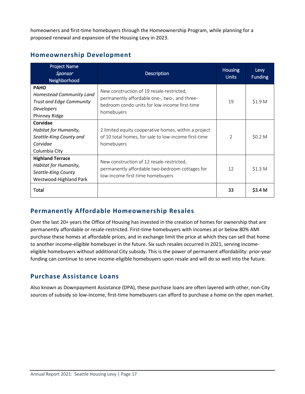homeowners and first-time homebuyers through the Homeownership Program, while planning for a proposed renewal and expansion of the Housing Levy in 2023.

| <b>Project Name</b><br>Sponsor<br>Neighborhood                                                     | <b>Description</b>                                                                                                                                        | <b>Housing</b><br><b>Units</b> | Levy<br><b>Funding</b> |
|----------------------------------------------------------------------------------------------------|-----------------------------------------------------------------------------------------------------------------------------------------------------------|--------------------------------|------------------------|
| <b>PAHO</b><br>Homestead Community Land<br>Trust and Edge Community<br>Developers<br>Phinney Ridge | New construction of 19 resale-restricted,<br>permanently affordable one-, two-, and three-<br>bedroom condo units for low-income first-time<br>homebuyers | 19                             | \$1.9 <sub>M</sub>     |
| Corvidae<br>Habitat for Humanity,<br>Seattle-King County and<br>Corvidae<br>Columbia City          | 2 limited equity cooperative homes, within a project<br>of 10 total homes, for sale to low-income first-time<br>homebuyers                                | $\overline{2}$                 | \$0.2 M                |
| <b>Highland Terrace</b><br>Habitat for Humanity,<br>Seattle-King County<br>Westwood-Highland Park  | New construction of 12 resale-restricted,<br>permanently affordable two-bedroom cottages for<br>low-income first-time homebuyers                          | 12                             | \$1.3 M                |
| Total                                                                                              |                                                                                                                                                           | 33                             | \$3.4 M                |

# **Homeownership Development**

# **Permanently Affordable Homeownership Resales**

Over the last 20+ years the Office of Housing has invested in the creation of homes for ownership that are permanently affordable or resale-restricted. First-time homebuyers with incomes at or below 80% AMI purchase these homes at affordable prices, and in exchange limit the price at which they can sell that home to another income-eligible homebuyer in the future. Six such resales occurred in 2021, serving incomeeligible homebuyers without additional City subsidy. This is the power of permanent affordability: prior-year funding can continue to serve income-eligible homebuyers upon resale and will do so well into the future.

# **Purchase Assistance Loans**

Also known as Downpayment Assistance (DPA), these purchase loans are often layered with other, non-City sources of subsidy so low-income, first-time homebuyers can afford to purchase a home on the open market.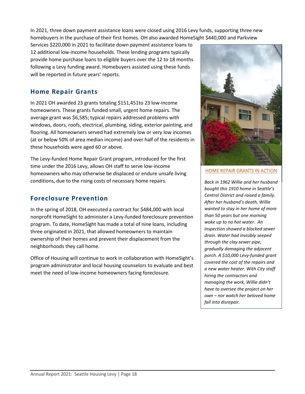In 2021, three down payment assistance loans were closed using 2016 Levy funds, supporting three new homebuyers in the purchase of their first homes. OH also awarded HomeSight \$440,000 and Parkview

Services \$220,000 in 2021 to facilitate down payment assistance loans to 12 additional low-income households. These lending programs typically provide home purchase loans to eligible buyers over the 12 to 18 months following a Levy funding award. Homebuyers assisted using these funds will be reported in future years' reports.

# **Home Repair Grants**

In 2021 OH awarded 23 grants totaling \$151,451to 23 low-income homeowners. These grants funded small, urgent home repairs. The average grant was \$6,585; typical repairs addressed problems with windows, doors, roofs, electrical, plumbing, siding, exterior painting, and flooring. All homeowners served had extremely low or very low incomes (at or below 50% of area median income) and over half of the residents in these households were aged 60 or above.

The Levy-funded Home Repair Grant program, introduced for the first time under the 2016 Levy, allows OH staff to serve low-income homeowners who may otherwise be displaced or endure unsafe living conditions, due to the rising costs of necessary home repairs.

# **Foreclosure Prevention**

In the spring of 2018, OH executed a contract for \$484,000 with local nonprofit HomeSight to administer a Levy-funded foreclosure prevention program. To date, HomeSight has made a total of nine loans, including three originated in 2021, that allowed homeowners to maintain ownership of their homes and prevent their displacement from the neighborhoods they call home.

Office of Housing will continue to work in collaboration with HomeSight's program administrator and local housing counselors to evaluate and best meet the need of low-income homeowners facing foreclosure.



#### HOME REPAIR GRANTS IN ACTION

*Back in 1962 Willie and her husband bought this 1910 home in Seattle's Central District and raised a family. After her husband's death, Willie wanted to stay in her home of more than 50 years but one morning woke up to no hot water. An inspection showed a blocked sewer drain. Water had invisibly seeped through the clay sewer pipe, gradually damaging the adjacent porch. A \$10,000 Levy-funded grant covered the cost of the repairs and a new water heater. With City staff hiring the contractors and managing the work, Willie didn't have to oversee the project on her own – nor watch her beloved home fall into disrepair.*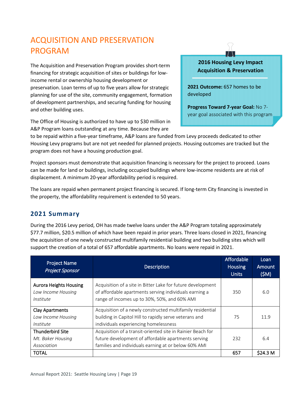# <span id="page-21-0"></span>ACQUISITION AND PRESERVATION PROGRAM

The Acquisition and Preservation Program provides short-term financing for strategic acquisition of sites or buildings for lowincome rental or ownership housing development or preservation. Loan terms of up to five years allow for strategic planning for use of the site, community engagement, formation of development partnerships, and securing funding for housing and other building uses.

The Office of Housing is authorized to have up to \$30 million in A&P Program loans outstanding at any time. Because they are

### **2016 Housing Levy Impact Acquisition & Preservation**

**2021 Outcome:** 657 homes to be developed

**Progress Toward 7-year Goal:** No 7 year goal associated with this program

to be repaid within a five-year timeframe, A&P loans are funded from Levy proceeds dedicated to other Housing Levy programs but are not yet needed for planned projects. Housing outcomes are tracked but the program does not have a housing production goal.

Project sponsors must demonstrate that acquisition financing is necessary for the project to proceed. Loans can be made for land or buildings, including occupied buildings where low-income residents are at risk of displacement. A minimum 20-year affordability period is required.

The loans are repaid when permanent project financing is secured. If long-term City financing is invested in the property, the affordability requirement is extended to 50 years.

# **2021 Summary**

During the 2016 Levy period, OH has made twelve loans under the A&P Program totaling approximately \$77.7 million, \$20.5 million of which have been repaid in prior years. Three loans closed in 2021, financing the acquisition of one newly constructed multifamily residential building and two building sites which will support the creation of a total of 657 affordable apartments. No loans were repaid in 2021.

| <b>Project Name</b><br><b>Project Sponsor</b>                    | <b>Description</b>                                                                                                                                                         | Affordable<br><b>Housing</b><br><b>Units</b> | Loan<br>Amount<br>(SM) |
|------------------------------------------------------------------|----------------------------------------------------------------------------------------------------------------------------------------------------------------------------|----------------------------------------------|------------------------|
| <b>Aurora Heights Housing</b><br>Low Income Housing<br>Institute | Acquisition of a site in Bitter Lake for future development<br>of affordable apartments serving individuals earning a<br>range of incomes up to 30%, 50%, and 60% AMI      | 350                                          | 6.0                    |
| <b>Clay Apartments</b><br>Low Income Housing<br>Institute        | Acquisition of a newly constructed multifamily residential<br>building in Capitol Hill to rapidly serve veterans and<br>individuals experiencing homelessness              | 75                                           | 11.9                   |
| <b>Thunderbird Site</b><br>Mt. Baker Housing<br>Association      | Acquisition of a transit-oriented site in Rainier Beach for<br>future development of affordable apartments serving<br>families and individuals earning at or below 60% AMI | 232                                          | 6.4                    |
| <b>TOTAL</b>                                                     |                                                                                                                                                                            | 657                                          | \$24.3 M               |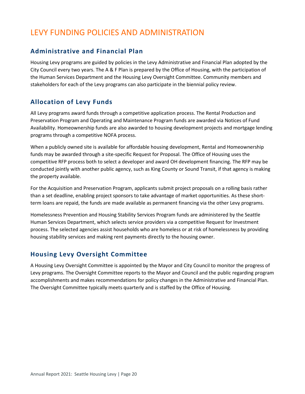# <span id="page-22-0"></span>LEVY FUNDING POLICIES AND ADMINISTRATION

# **Administrative and Financial Plan**

Housing Levy programs are guided by policies in the Levy Administrative and Financial Plan adopted by the City Council every two years. The A & F Plan is prepared by the Office of Housing, with the participation of the Human Services Department and the Housing Levy Oversight Committee. Community members and stakeholders for each of the Levy programs can also participate in the biennial policy review.

# **Allocation of Levy Funds**

All Levy programs award funds through a competitive application process. The Rental Production and Preservation Program and Operating and Maintenance Program funds are awarded via Notices of Fund Availability. Homeownership funds are also awarded to housing development projects and mortgage lending programs through a competitive NOFA process.

When a publicly owned site is available for affordable housing development, Rental and Homeownership funds may be awarded through a site-specific Request for Proposal. The Office of Housing uses the competitive RFP process both to select a developer and award OH development financing. The RFP may be conducted jointly with another public agency, such as King County or Sound Transit, if that agency is making the property available.

For the Acquisition and Preservation Program, applicants submit project proposals on a rolling basis rather than a set deadline, enabling project sponsors to take advantage of market opportunities. As these shortterm loans are repaid, the funds are made available as permanent financing via the other Levy programs.

Homelessness Prevention and Housing Stability Services Program funds are administered by the Seattle Human Services Department, which selects service providers via a competitive Request for Investment process. The selected agencies assist households who are homeless or at risk of homelessness by providing housing stability services and making rent payments directly to the housing owner.

# **Housing Levy Oversight Committee**

A Housing Levy Oversight Committee is appointed by the Mayor and City Council to monitor the progress of Levy programs. The Oversight Committee reports to the Mayor and Council and the public regarding program accomplishments and makes recommendations for policy changes in the Administrative and Financial Plan. The Oversight Committee typically meets quarterly and is staffed by the Office of Housing.